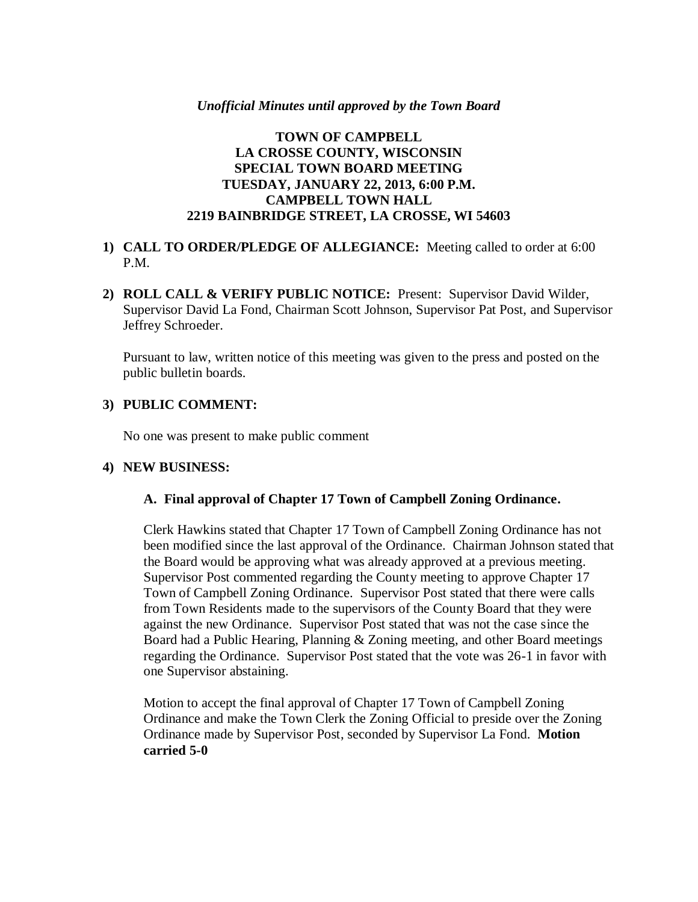#### *Unofficial Minutes until approved by the Town Board*

### **TOWN OF CAMPBELL LA CROSSE COUNTY, WISCONSIN SPECIAL TOWN BOARD MEETING TUESDAY, JANUARY 22, 2013, 6:00 P.M. CAMPBELL TOWN HALL 2219 BAINBRIDGE STREET, LA CROSSE, WI 54603**

### **1) CALL TO ORDER/PLEDGE OF ALLEGIANCE:** Meeting called to order at 6:00 P.M.

**2) ROLL CALL & VERIFY PUBLIC NOTICE:** Present: Supervisor David Wilder, Supervisor David La Fond, Chairman Scott Johnson, Supervisor Pat Post, and Supervisor Jeffrey Schroeder.

Pursuant to law, written notice of this meeting was given to the press and posted on the public bulletin boards.

### **3) PUBLIC COMMENT:**

No one was present to make public comment

### **4) NEW BUSINESS:**

#### **A. Final approval of Chapter 17 Town of Campbell Zoning Ordinance.**

Clerk Hawkins stated that Chapter 17 Town of Campbell Zoning Ordinance has not been modified since the last approval of the Ordinance. Chairman Johnson stated that the Board would be approving what was already approved at a previous meeting. Supervisor Post commented regarding the County meeting to approve Chapter 17 Town of Campbell Zoning Ordinance. Supervisor Post stated that there were calls from Town Residents made to the supervisors of the County Board that they were against the new Ordinance. Supervisor Post stated that was not the case since the Board had a Public Hearing, Planning & Zoning meeting, and other Board meetings regarding the Ordinance. Supervisor Post stated that the vote was 26-1 in favor with one Supervisor abstaining.

Motion to accept the final approval of Chapter 17 Town of Campbell Zoning Ordinance and make the Town Clerk the Zoning Official to preside over the Zoning Ordinance made by Supervisor Post, seconded by Supervisor La Fond. **Motion carried 5-0**